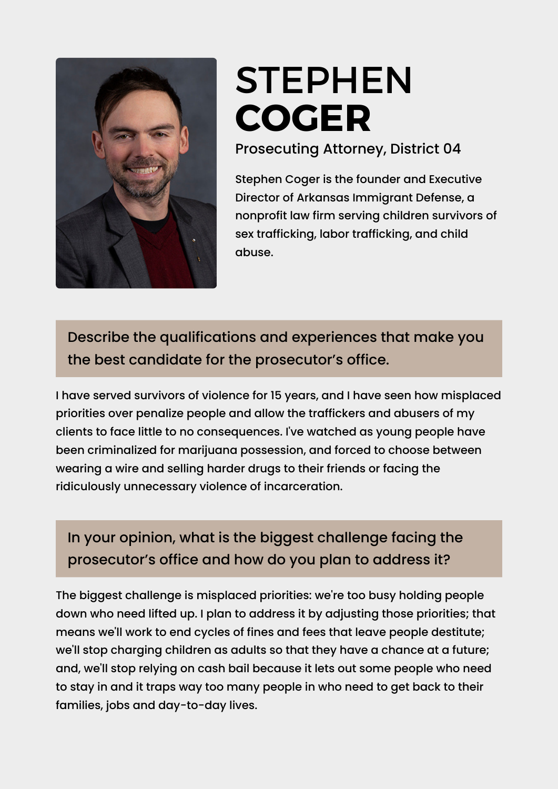

## STEPHEN **[COGER](https://www.ark.org/arelections/index.php?ac:show:cand_search=1&candid=3604)**

Prosecuting Attorney, District 04

Stephen Coger is the founder and Executive Director of Arkansas Immigrant Defense, a nonprofit law firm serving children survivors of sex trafficking, labor trafficking, and child abuse.

Describe the qualifications and experiences that make you the best candidate for the prosecutor's office.

I have served survivors of violence for 15 years, and I have seen how misplaced priorities over penalize people and allow the traffickers and abusers of my clients to face little to no consequences. I've watched as young people have been criminalized for marijuana possession, and forced to choose between wearing a wire and selling harder drugs to their friends or facing the ridiculously unnecessary violence of incarceration.

## In your opinion, what is the biggest challenge facing the prosecutor's office and how do you plan to address it?

The biggest challenge is misplaced priorities: we're too busy holding people down who need lifted up. I plan to address it by adjusting those priorities; that means we'll work to end cycles of fines and fees that leave people destitute; we'll stop charging children as adults so that they have a chance at a future; and, we'll stop relying on cash bail because it lets out some people who need to stay in and it traps way too many people in who need to get back to their families, jobs and day-to-day lives.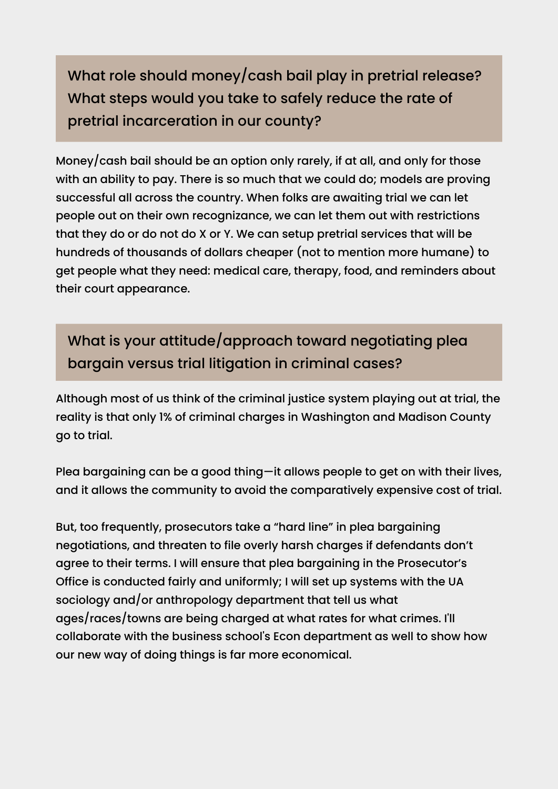What role should money/cash bail play in pretrial release? What steps would you take to safely reduce the rate of pretrial incarceration in our county?

Money/cash bail should be an option only rarely, if at all, and only for those with an ability to pay. There is so much that we could do; models are proving successful all across the country. When folks are awaiting trial we can let people out on their own recognizance, we can let them out with restrictions that they do or do not do X or Y. We can setup pretrial services that will be hundreds of thousands of dollars cheaper (not to mention more humane) to get people what they need: medical care, therapy, food, and reminders about their court appearance.

What is your attitude/approach toward negotiating plea bargain versus trial litigation in criminal cases?

Although most of us think of the criminal justice system playing out at trial, the reality is that only 1% of criminal charges in Washington and Madison County go to trial.

Plea bargaining can be a good thing—it allows people to get on with their lives, and it allows the community to avoid the comparatively expensive cost of trial.

But, too frequently, prosecutors take a "hard line" in plea bargaining negotiations, and threaten to file overly harsh charges if defendants don't agree to their terms. I will ensure that plea bargaining in the Prosecutor's Office is conducted fairly and uniformly; I will set up systems with the UA sociology and/or anthropology department that tell us what ages/races/towns are being charged at what rates for what crimes. I'll collaborate with the business school's Econ department as well to show how our new way of doing things is far more economical.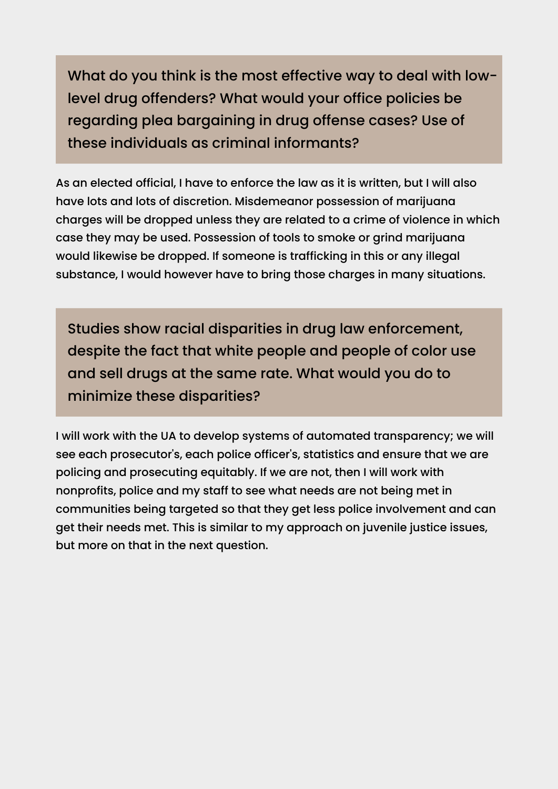What do you think is the most effective way to deal with lowlevel drug offenders? What would your office policies be regarding plea bargaining in drug offense cases? Use of these individuals as criminal informants?

As an elected official, I have to enforce the law as it is written, but I will also have lots and lots of discretion. Misdemeanor possession of marijuana charges will be dropped unless they are related to a crime of violence in which case they may be used. Possession of tools to smoke or grind marijuana would likewise be dropped. If someone is trafficking in this or any illegal substance, I would however have to bring those charges in many situations.

Studies show racial disparities in drug law enforcement, despite the fact that white people and people of color use and sell drugs at the same rate. What would you do to minimize these disparities?

I will work with the UA to develop systems of automated transparency; we will see each prosecutor's, each police officer's, statistics and ensure that we are policing and prosecuting equitably. If we are not, then I will work with nonprofits, police and my staff to see what needs are not being met in communities being targeted so that they get less police involvement and can get their needs met. This is similar to my approach on juvenile justice issues, but more on that in the next question.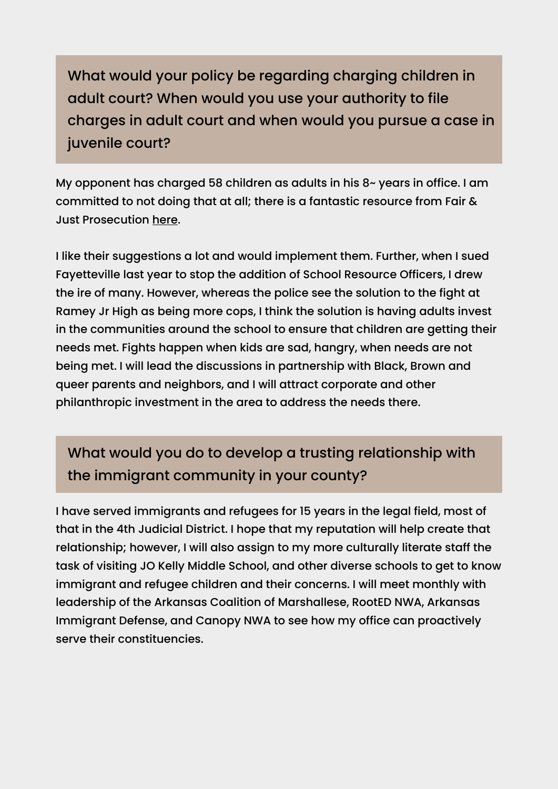What would your policy be regarding charging children in adult court? When would you use your authority to file charges in adult court and when would you pursue a case in juvenile court?

My opponent has charged 58 children as adults in his 8~ years in office. I am committed to not doing that at all; there is a fantastic resource from Fair & Just Prosecution [here.](https://fairandjustprosecution.org/wp-content/uploads/2022/01/FJP-Juvenile-Interrogation-Issue-Brief.pdf)

I like their suggestions a lot and would implement them. Further, when I sued Fayetteville last year to stop the addition of School Resource Officers, I drew the ire of many. However, whereas the police see the solution to the fight at Ramey Jr High as being more cops, I think the solution is having adults invest in the communities around the school to ensure that children are getting their needs met. Fights happen when kids are sad, hangry, when needs are not being met. I will lead the discussions in partnership with Black, Brown and queer parents and neighbors, and I will attract corporate and other philanthropic investment in the area to address the needs there.

## What would you do to develop a trusting relationship with the immigrant community in your county?

I have served immigrants and refugees for 15 years in the legal field, most of that in the 4th Judicial District. I hope that my reputation will help create that relationship; however, I will also assign to my more culturally literate staff the task of visiting JO Kelly Middle School, and other diverse schools to get to know immigrant and refugee children and their concerns. I will meet monthly with leadership of the Arkansas Coalition of Marshallese, RootED NWA, Arkansas Immigrant Defense, and Canopy NWA to see how my office can proactively serve their constituencies.